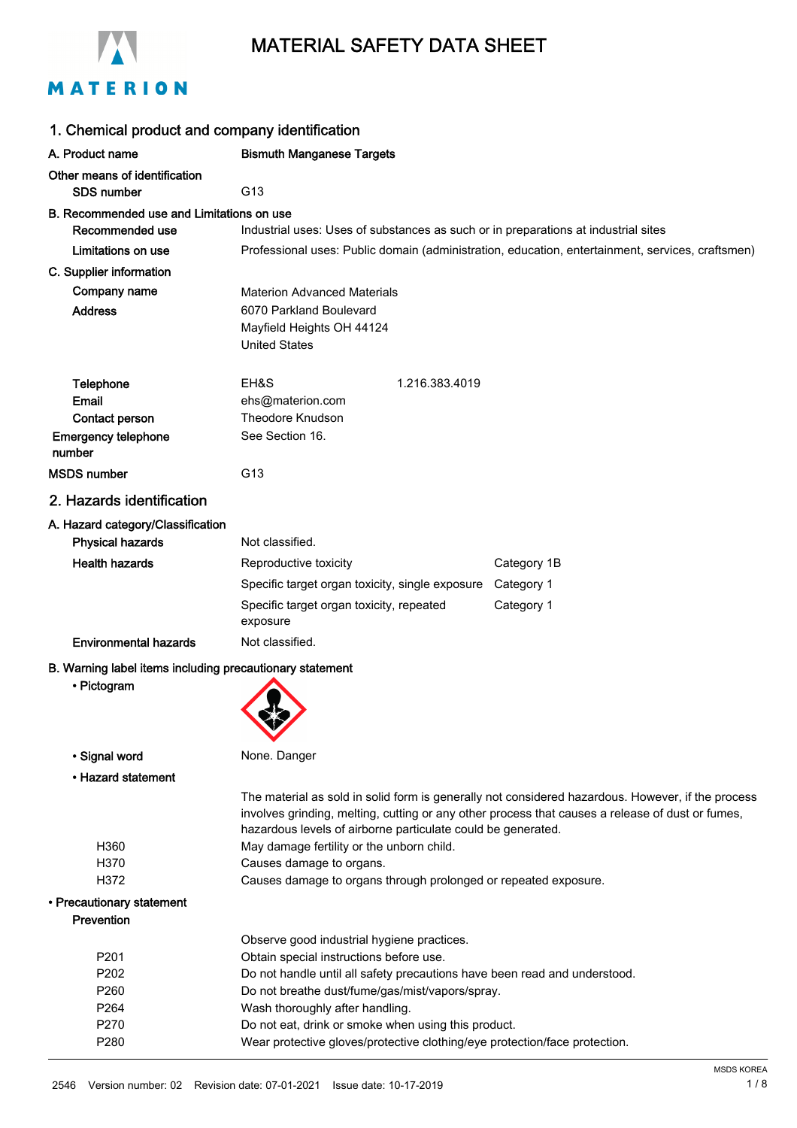

# MATERIAL SAFETY DATA SHEET

| 1. Chemical product and company identification           |                                                                                                                              |  |
|----------------------------------------------------------|------------------------------------------------------------------------------------------------------------------------------|--|
| A. Product name                                          | <b>Bismuth Manganese Targets</b>                                                                                             |  |
| Other means of identification                            |                                                                                                                              |  |
| <b>SDS number</b>                                        | G <sub>13</sub>                                                                                                              |  |
| B. Recommended use and Limitations on use                |                                                                                                                              |  |
| Recommended use                                          | Industrial uses: Uses of substances as such or in preparations at industrial sites                                           |  |
| Limitations on use                                       | Professional uses: Public domain (administration, education, entertainment, services, craftsmen)                             |  |
| C. Supplier information                                  |                                                                                                                              |  |
| Company name                                             | <b>Materion Advanced Materials</b>                                                                                           |  |
| <b>Address</b>                                           | 6070 Parkland Boulevard                                                                                                      |  |
|                                                          | Mayfield Heights OH 44124                                                                                                    |  |
|                                                          | <b>United States</b>                                                                                                         |  |
| Telephone                                                | EH&S<br>1.216.383.4019                                                                                                       |  |
| Email                                                    | ehs@materion.com                                                                                                             |  |
| Contact person                                           | Theodore Knudson                                                                                                             |  |
| <b>Emergency telephone</b>                               | See Section 16.                                                                                                              |  |
| number                                                   |                                                                                                                              |  |
| <b>MSDS</b> number                                       | G <sub>13</sub>                                                                                                              |  |
| 2. Hazards identification                                |                                                                                                                              |  |
| A. Hazard category/Classification                        |                                                                                                                              |  |
| <b>Physical hazards</b>                                  | Not classified.                                                                                                              |  |
| <b>Health hazards</b>                                    | Category 1B<br>Reproductive toxicity                                                                                         |  |
|                                                          | Specific target organ toxicity, single exposure<br>Category 1                                                                |  |
|                                                          | Specific target organ toxicity, repeated<br>Category 1                                                                       |  |
|                                                          | exposure                                                                                                                     |  |
| <b>Environmental hazards</b>                             | Not classified.                                                                                                              |  |
| B. Warning label items including precautionary statement |                                                                                                                              |  |
| • Pictogram                                              |                                                                                                                              |  |
|                                                          |                                                                                                                              |  |
|                                                          |                                                                                                                              |  |
| • Signal word                                            | None. Danger                                                                                                                 |  |
| • Hazard statement                                       |                                                                                                                              |  |
|                                                          | The material as sold in solid form is generally not considered hazardous. However, if the process                            |  |
|                                                          | involves grinding, melting, cutting or any other process that causes a release of dust or fumes,                             |  |
|                                                          | hazardous levels of airborne particulate could be generated.                                                                 |  |
| H360                                                     | May damage fertility or the unborn child.                                                                                    |  |
| H370                                                     | Causes damage to organs.                                                                                                     |  |
| H372                                                     | Causes damage to organs through prolonged or repeated exposure.                                                              |  |
| • Precautionary statement                                |                                                                                                                              |  |
| Prevention                                               |                                                                                                                              |  |
|                                                          | Observe good industrial hygiene practices.                                                                                   |  |
| P201<br>P202                                             | Obtain special instructions before use.                                                                                      |  |
| P260                                                     | Do not handle until all safety precautions have been read and understood.<br>Do not breathe dust/fume/gas/mist/vapors/spray. |  |
| P264                                                     | Wash thoroughly after handling.                                                                                              |  |
| P270                                                     | Do not eat, drink or smoke when using this product.                                                                          |  |
| P280                                                     | Wear protective gloves/protective clothing/eye protection/face protection.                                                   |  |
|                                                          |                                                                                                                              |  |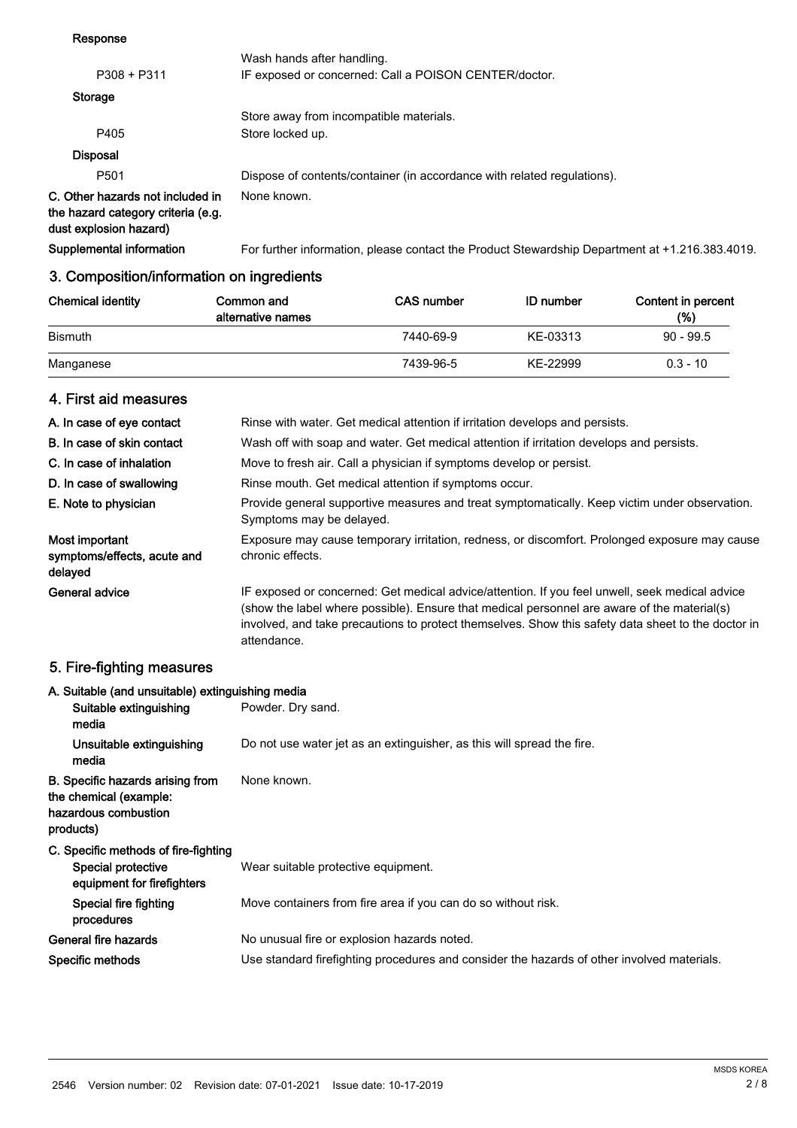## Response

| P308 + P311                                                                                      | Wash hands after handling.<br>IF exposed or concerned: Call a POISON CENTER/doctor. |
|--------------------------------------------------------------------------------------------------|-------------------------------------------------------------------------------------|
| Storage                                                                                          |                                                                                     |
|                                                                                                  | Store away from incompatible materials.                                             |
| P405                                                                                             | Store locked up.                                                                    |
| <b>Disposal</b>                                                                                  |                                                                                     |
| P <sub>501</sub>                                                                                 | Dispose of contents/container (in accordance with related regulations).             |
| C. Other hazards not included in<br>the hazard category criteria (e.g.<br>dust explosion hazard) | None known.                                                                         |

Supplemental information For further information, please contact the Product Stewardship Department at +1.216.383.4019.

# 3. Composition/information on ingredients

| <b>Chemical identity</b> | Common and<br>alternative names | <b>CAS number</b> | <b>ID</b> number | Content in percent<br>(%) |
|--------------------------|---------------------------------|-------------------|------------------|---------------------------|
| <b>Bismuth</b>           |                                 | 7440-69-9         | KE-03313         | $90 - 99.5$               |
| Manganese                |                                 | 7439-96-5         | KE-22999         | $0.3 - 10$                |

# 4. First aid measures

| A. In case of eye contact                                | Rinse with water. Get medical attention if irritation develops and persists.                                                                                                                                                                                                                                       |
|----------------------------------------------------------|--------------------------------------------------------------------------------------------------------------------------------------------------------------------------------------------------------------------------------------------------------------------------------------------------------------------|
| B. In case of skin contact                               | Wash off with soap and water. Get medical attention if irritation develops and persists.                                                                                                                                                                                                                           |
| C. In case of inhalation                                 | Move to fresh air. Call a physician if symptoms develop or persist.                                                                                                                                                                                                                                                |
| D. In case of swallowing                                 | Rinse mouth. Get medical attention if symptoms occur.                                                                                                                                                                                                                                                              |
| E. Note to physician                                     | Provide general supportive measures and treat symptomatically. Keep victim under observation.<br>Symptoms may be delayed.                                                                                                                                                                                          |
| Most important<br>symptoms/effects, acute and<br>delayed | Exposure may cause temporary irritation, redness, or discomfort. Prolonged exposure may cause<br>chronic effects.                                                                                                                                                                                                  |
| General advice                                           | IF exposed or concerned: Get medical advice/attention. If you feel unwell, seek medical advice<br>(show the label where possible). Ensure that medical personnel are aware of the material(s)<br>involved, and take precautions to protect themselves. Show this safety data sheet to the doctor in<br>attendance. |

# 5. Fire-fighting measures

| A. Suitable (and unsuitable) extinguishing media                                                |                                                                                            |
|-------------------------------------------------------------------------------------------------|--------------------------------------------------------------------------------------------|
| Suitable extinguishing<br>media                                                                 | Powder. Dry sand.                                                                          |
| Unsuitable extinguishing<br>media                                                               | Do not use water jet as an extinguisher, as this will spread the fire.                     |
| B. Specific hazards arising from<br>the chemical (example:<br>hazardous combustion<br>products) | None known.                                                                                |
| C. Specific methods of fire-fighting<br><b>Special protective</b><br>equipment for firefighters | Wear suitable protective equipment.                                                        |
| Special fire fighting<br>procedures                                                             | Move containers from fire area if you can do so without risk.                              |
| General fire hazards                                                                            | No unusual fire or explosion hazards noted.                                                |
| Specific methods                                                                                | Use standard firefighting procedures and consider the hazards of other involved materials. |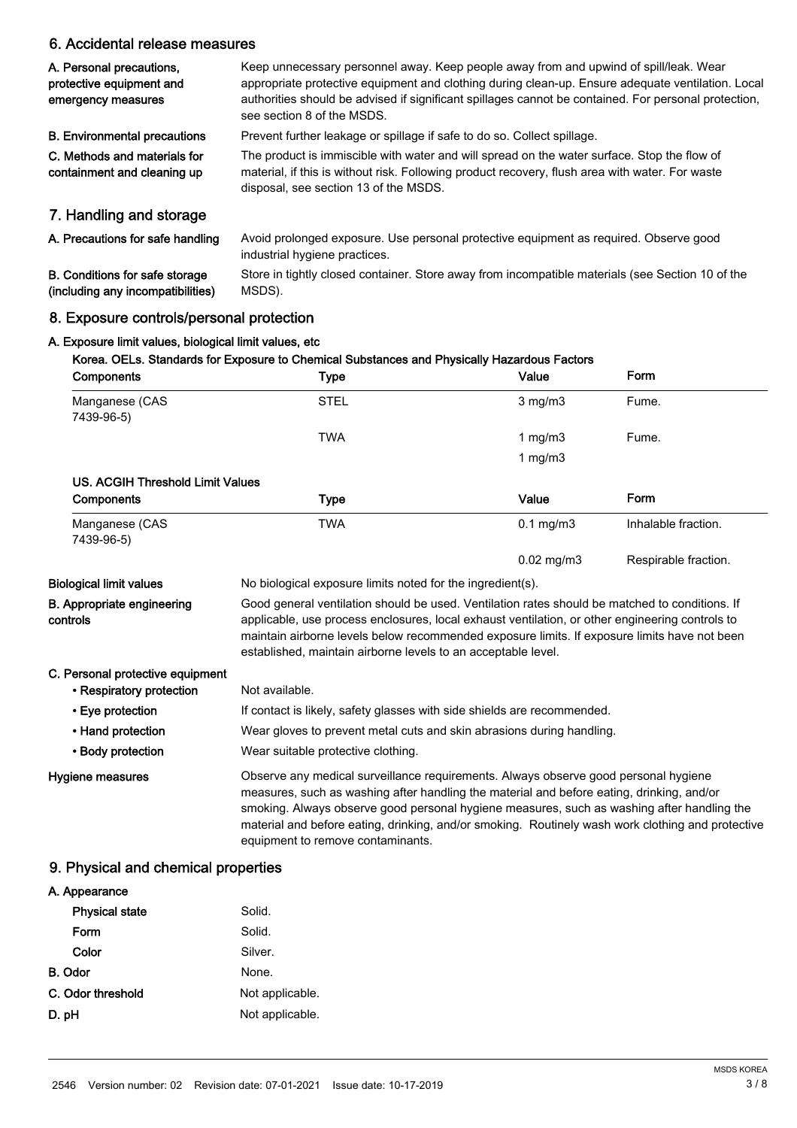# 6. Accidental release measures

| A. Personal precautions,<br>protective equipment and<br>emergency measures | Keep unnecessary personnel away. Keep people away from and upwind of spill/leak. Wear<br>appropriate protective equipment and clothing during clean-up. Ensure adequate ventilation. Local<br>authorities should be advised if significant spillages cannot be contained. For personal protection,<br>see section 8 of the MSDS. |
|----------------------------------------------------------------------------|----------------------------------------------------------------------------------------------------------------------------------------------------------------------------------------------------------------------------------------------------------------------------------------------------------------------------------|
| <b>B. Environmental precautions</b>                                        | Prevent further leakage or spillage if safe to do so. Collect spillage.                                                                                                                                                                                                                                                          |
| C. Methods and materials for<br>containment and cleaning up                | The product is immiscible with water and will spread on the water surface. Stop the flow of<br>material, if this is without risk. Following product recovery, flush area with water. For waste<br>disposal, see section 13 of the MSDS.                                                                                          |
| 7. Handling and storage                                                    |                                                                                                                                                                                                                                                                                                                                  |
| A. Precautions for safe handling                                           | Avoid prolonged exposure. Use personal protective equipment as required. Observe good<br>industrial hygiene practices.                                                                                                                                                                                                           |
| <b>B. Conditions for safe storage</b><br>(including any incompatibilities) | Store in tightly closed container. Store away from incompatible materials (see Section 10 of the<br>MSDS).                                                                                                                                                                                                                       |

# 8. Exposure controls/personal protection A. Exposure limit values, biological limit values, etc

(including any incompatibilities)

# Korea. OELs. Standards for Exposure to Chemical Substances and Physically Hazardous Factors Components Type Value Form Manganese (CAS STEL STEL 3 mg/m3 Fume. 7439-96-5) TWA 1 mg/m3 Fume. 1 mg/m3 US. ACGIH Threshold Limit Values Components **Components** Type Value Form Manganese (CAS TWA TWA 1999) TWA 1999 Manganese (CAS 1999) Manganese (CAS 1999) Manganese (CAS 1999) Manganese (CAS 7439-96-5) 0.02 mg/m3 Respirable fraction. Biological limit values No biological exposure limits noted for the ingredient(s). Good general ventilation should be used. Ventilation rates should be matched to conditions. If applicable, use process enclosures, local exhaust ventilation, or other engineering controls to maintain airborne levels below recommended exposure limits. If exposure limits have not been established, maintain airborne levels to an acceptable level. B. Appropriate engineering controls C. Personal protective equipment • Respiratory protection Not available. • Eye protection If contact is likely, safety glasses with side shields are recommended. • Hand protection Wear gloves to prevent metal cuts and skin abrasions during handling. • Body protection Wear suitable protective clothing. Observe any medical surveillance requirements. Always observe good personal hygiene measures, such as washing after handling the material and before eating, drinking, and/or smoking. Always observe good personal hygiene measures, such as washing after handling the material and before eating, drinking, and/or smoking. Routinely wash work clothing and protective equipment to remove contaminants. Hygiene measures

# 9. Physical and chemical properties

| A. Appearance         |                 |
|-----------------------|-----------------|
| <b>Physical state</b> | Solid.          |
| Form                  | Solid.          |
| Color                 | Silver.         |
| <b>B.</b> Odor        | None.           |
| C. Odor threshold     | Not applicable. |
| D. pH                 | Not applicable. |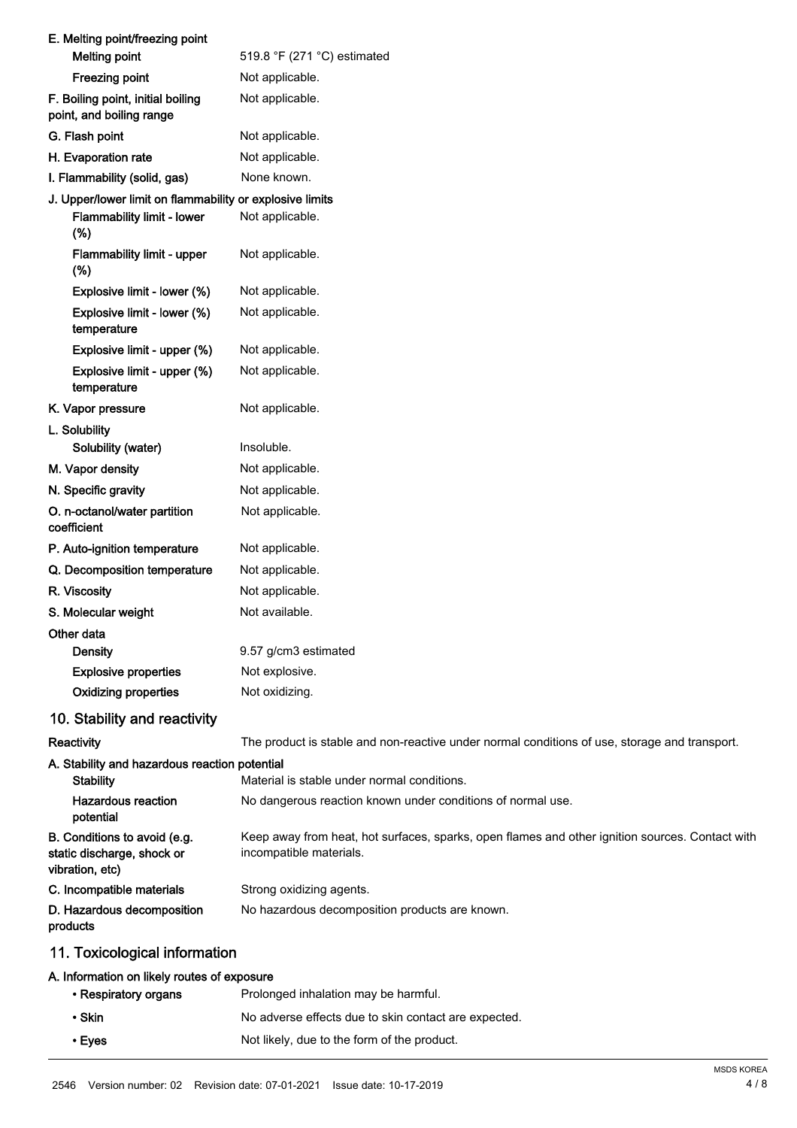| E. Melting point/freezing point                                               |                                                                                                                            |
|-------------------------------------------------------------------------------|----------------------------------------------------------------------------------------------------------------------------|
| <b>Melting point</b>                                                          | 519.8 °F (271 °C) estimated                                                                                                |
| <b>Freezing point</b>                                                         | Not applicable.                                                                                                            |
| F. Boiling point, initial boiling<br>point, and boiling range                 | Not applicable.                                                                                                            |
| G. Flash point                                                                | Not applicable.                                                                                                            |
| H. Evaporation rate                                                           | Not applicable.                                                                                                            |
| I. Flammability (solid, gas)                                                  | None known.                                                                                                                |
| J. Upper/lower limit on flammability or explosive limits                      |                                                                                                                            |
| Flammability limit - lower<br>(%)                                             | Not applicable.                                                                                                            |
| <b>Flammability limit - upper</b><br>(%)                                      | Not applicable.                                                                                                            |
| Explosive limit - lower (%)                                                   | Not applicable.                                                                                                            |
| Explosive limit - lower (%)<br>temperature                                    | Not applicable.                                                                                                            |
| Explosive limit - upper (%)                                                   | Not applicable.                                                                                                            |
| Explosive limit - upper (%)<br>temperature                                    | Not applicable.                                                                                                            |
| K. Vapor pressure                                                             | Not applicable.                                                                                                            |
| L. Solubility<br>Solubility (water)                                           | Insoluble.                                                                                                                 |
| M. Vapor density                                                              | Not applicable.                                                                                                            |
| N. Specific gravity                                                           | Not applicable.                                                                                                            |
| O. n-octanol/water partition<br>coefficient                                   | Not applicable.                                                                                                            |
| P. Auto-ignition temperature                                                  | Not applicable.                                                                                                            |
| Q. Decomposition temperature                                                  | Not applicable.                                                                                                            |
| R. Viscosity                                                                  | Not applicable.                                                                                                            |
| S. Molecular weight                                                           | Not available.                                                                                                             |
| Other data                                                                    |                                                                                                                            |
| <b>Density</b>                                                                | 9.57 g/cm3 estimated                                                                                                       |
| <b>Explosive properties</b>                                                   | Not explosive.                                                                                                             |
| <b>Oxidizing properties</b>                                                   | Not oxidizing.                                                                                                             |
| 10. Stability and reactivity                                                  |                                                                                                                            |
| Reactivity                                                                    | The product is stable and non-reactive under normal conditions of use, storage and transport.                              |
| A. Stability and hazardous reaction potential<br><b>Stability</b>             | Material is stable under normal conditions.                                                                                |
| <b>Hazardous reaction</b><br>potential                                        | No dangerous reaction known under conditions of normal use.                                                                |
| B. Conditions to avoid (e.g.<br>static discharge, shock or<br>vibration, etc) | Keep away from heat, hot surfaces, sparks, open flames and other ignition sources. Contact with<br>incompatible materials. |
| C. Incompatible materials                                                     | Strong oxidizing agents.                                                                                                   |
| D. Hazardous decomposition<br>products                                        | No hazardous decomposition products are known.                                                                             |
| 11. Toxicological information                                                 |                                                                                                                            |
| A. Information on likely routes of exposure                                   |                                                                                                                            |
| • Respiratory organs                                                          | Prolonged inhalation may be harmful.                                                                                       |
| • Skin                                                                        | No adverse effects due to skin contact are expected.                                                                       |

• Eyes Not likely, due to the form of the product.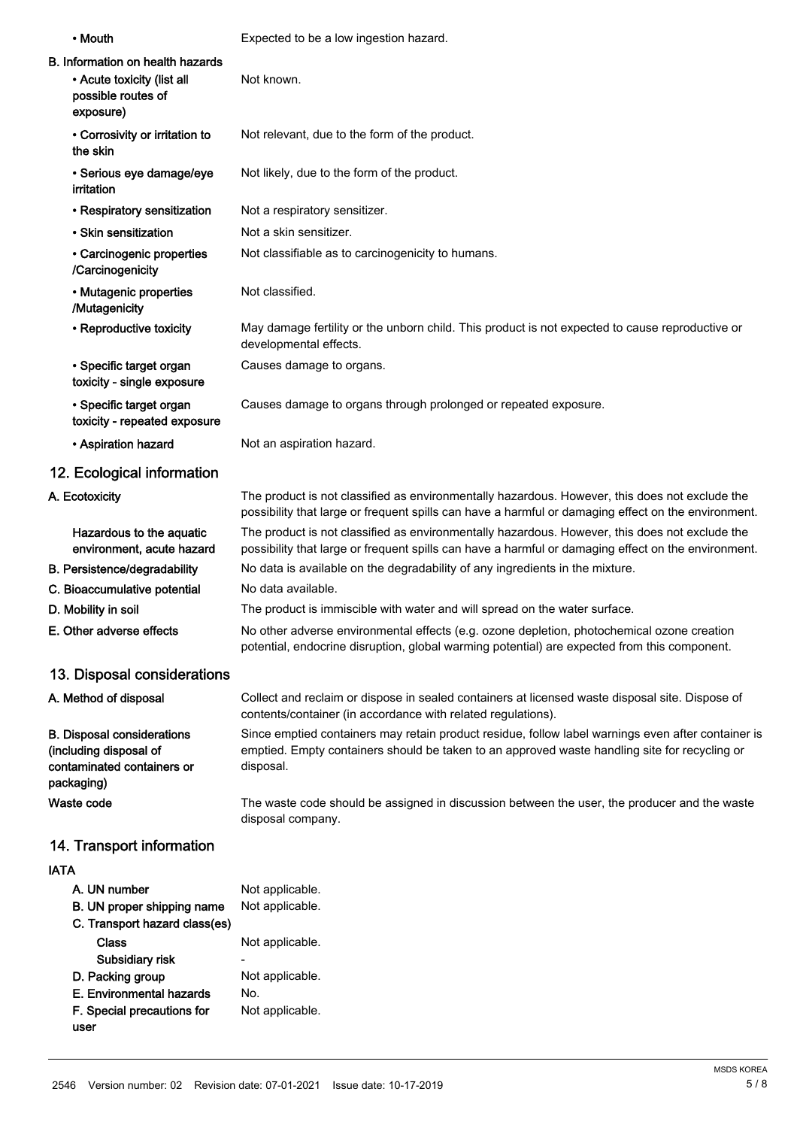| • Mouth                                                                                                  | Expected to be a low ingestion hazard.                                                                                                                                                                           |
|----------------------------------------------------------------------------------------------------------|------------------------------------------------------------------------------------------------------------------------------------------------------------------------------------------------------------------|
| <b>B. Information on health hazards</b><br>• Acute toxicity (list all<br>possible routes of<br>exposure) | Not known.                                                                                                                                                                                                       |
| • Corrosivity or irritation to<br>the skin                                                               | Not relevant, due to the form of the product.                                                                                                                                                                    |
| · Serious eye damage/eye<br>irritation                                                                   | Not likely, due to the form of the product.                                                                                                                                                                      |
| • Respiratory sensitization                                                                              | Not a respiratory sensitizer.                                                                                                                                                                                    |
| • Skin sensitization                                                                                     | Not a skin sensitizer.                                                                                                                                                                                           |
| • Carcinogenic properties<br>/Carcinogenicity                                                            | Not classifiable as to carcinogenicity to humans.                                                                                                                                                                |
| • Mutagenic properties<br>/Mutagenicity                                                                  | Not classified.                                                                                                                                                                                                  |
| • Reproductive toxicity                                                                                  | May damage fertility or the unborn child. This product is not expected to cause reproductive or<br>developmental effects.                                                                                        |
| • Specific target organ<br>toxicity - single exposure                                                    | Causes damage to organs.                                                                                                                                                                                         |
| • Specific target organ<br>toxicity - repeated exposure                                                  | Causes damage to organs through prolonged or repeated exposure.                                                                                                                                                  |
| • Aspiration hazard                                                                                      | Not an aspiration hazard.                                                                                                                                                                                        |
| 12. Ecological information                                                                               |                                                                                                                                                                                                                  |
| A. Ecotoxicity                                                                                           | The product is not classified as environmentally hazardous. However, this does not exclude the<br>possibility that large or frequent spills can have a harmful or damaging effect on the environment.            |
| Hazardous to the aquatic<br>environment, acute hazard                                                    | The product is not classified as environmentally hazardous. However, this does not exclude the<br>possibility that large or frequent spills can have a harmful or damaging effect on the environment.            |
| B. Persistence/degradability                                                                             | No data is available on the degradability of any ingredients in the mixture.                                                                                                                                     |
| C. Bioaccumulative potential                                                                             | No data available.                                                                                                                                                                                               |
| D. Mobility in soil                                                                                      | The product is immiscible with water and will spread on the water surface.                                                                                                                                       |
| E. Other adverse effects                                                                                 | No other adverse environmental effects (e.g. ozone depletion, photochemical ozone creation<br>potential, endocrine disruption, global warming potential) are expected from this component.                       |
| 13. Disposal considerations                                                                              |                                                                                                                                                                                                                  |
| A. Method of disposal                                                                                    | Collect and reclaim or dispose in sealed containers at licensed waste disposal site. Dispose of<br>contents/container (in accordance with related regulations).                                                  |
| <b>B. Disposal considerations</b><br>(including disposal of<br>contaminated containers or<br>packaging)  | Since emptied containers may retain product residue, follow label warnings even after container is<br>emptied. Empty containers should be taken to an approved waste handling site for recycling or<br>disposal. |
| Waste code                                                                                               | The waste code should be assigned in discussion between the user, the producer and the waste<br>disposal company.                                                                                                |
| 14. Transport information                                                                                |                                                                                                                                                                                                                  |
| <b>IATA</b>                                                                                              |                                                                                                                                                                                                                  |
| A. UN number                                                                                             | Not applicable.                                                                                                                                                                                                  |
| B. UN proper shipping name<br>C. Transport hazard class(es)                                              | Not applicable.                                                                                                                                                                                                  |
| <b>Class</b><br>Subsidiary risk                                                                          | Not applicable.                                                                                                                                                                                                  |
| D. Packing group                                                                                         | Not applicable.                                                                                                                                                                                                  |
| E. Environmental hazards                                                                                 | No.                                                                                                                                                                                                              |

F. Special precautions for Not applicable.

user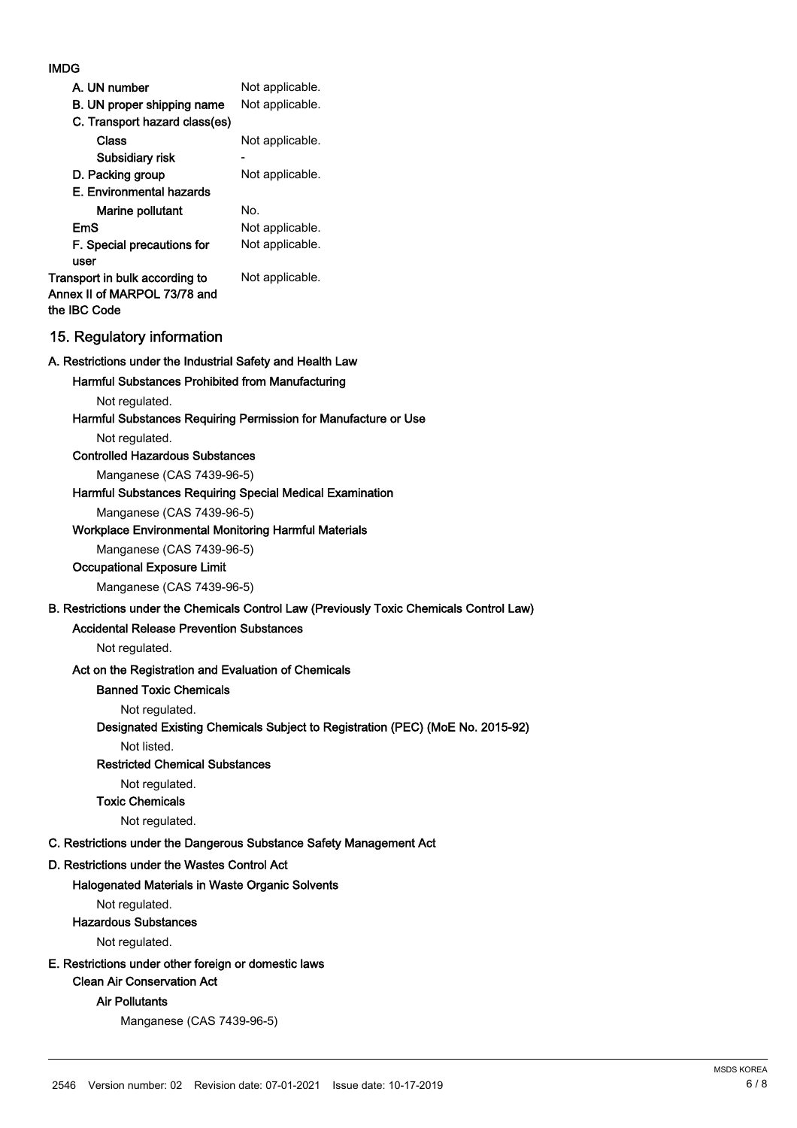# IMDG

| A. UN number                                                                   | Not applicable. |
|--------------------------------------------------------------------------------|-----------------|
| B. UN proper shipping name                                                     | Not applicable. |
| C. Transport hazard class(es)                                                  |                 |
| Class                                                                          | Not applicable. |
| Subsidiary risk                                                                |                 |
| D. Packing group                                                               | Not applicable. |
| E. Environmental hazards                                                       |                 |
| Marine pollutant                                                               | No.             |
| EmS                                                                            | Not applicable. |
| F. Special precautions for<br>user                                             | Not applicable. |
| Transport in bulk according to<br>Annex II of MARPOL 73/78 and<br>the IBC Code | Not applicable. |

# 15. Regulatory information

#### A. Restrictions under the Industrial Safety and Health Law

## Harmful Substances Prohibited from Manufacturing

Not regulated.

#### Harmful Substances Requiring Permission for Manufacture or Use

Not regulated.

# Controlled Hazardous Substances

Manganese (CAS 7439-96-5)

#### Harmful Substances Requiring Special Medical Examination

Manganese (CAS 7439-96-5)

#### Workplace Environmental Monitoring Harmful Materials

Manganese (CAS 7439-96-5)

#### Occupational Exposure Limit

Manganese (CAS 7439-96-5)

# B. Restrictions under the Chemicals Control Law (Previously Toxic Chemicals Control Law)

# Accidental Release Prevention Substances

Not regulated.

# Act on the Registration and Evaluation of Chemicals

# Banned Toxic Chemicals

Not regulated.

#### Designated Existing Chemicals Subject to Registration (PEC) (MoE No. 2015-92)

Not listed.

#### Restricted Chemical Substances

Not regulated.

Toxic Chemicals

Not regulated.

# C. Restrictions under the Dangerous Substance Safety Management Act

#### D. Restrictions under the Wastes Control Act

#### Halogenated Materials in Waste Organic Solvents

Not regulated.

#### Hazardous Substances

Not regulated.

# E. Restrictions under other foreign or domestic laws

Clean Air Conservation Act

#### Air Pollutants

Manganese (CAS 7439-96-5)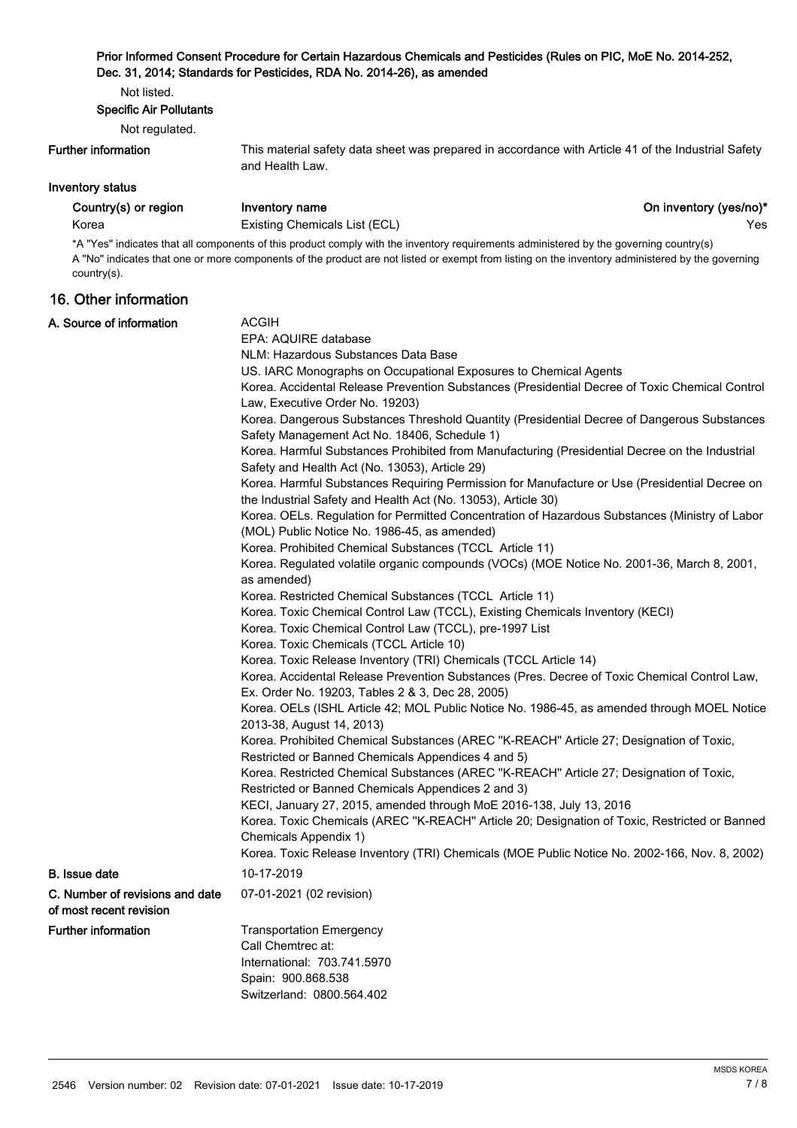# Prior Informed Consent Procedure for Certain Hazardous Chemicals and Pesticides (Rules on PIC, MoE No. 2014-252, Dec. 31, 2014; Standards for Pesticides, RDA No. 2014-26), as amended

Not listed.

Specific Air Pollutants

Not regulated.

#### Further information

This material safety data sheet was prepared in accordance with Article 41 of the Industrial Safety and Health Law.

# Inventory status

Korea **Existing Chemicals List (ECL) Existing Chemicals List (ECL) Existing Chemicals List (ECL)** 

Country(s) or region Inventory name **Inventory name** On inventory (yes/no)\*

\*A "Yes" indicates that all components of this product comply with the inventory requirements administered by the governing country(s) A "No" indicates that one or more components of the product are not listed or exempt from listing on the inventory administered by the governing country(s).

# 16. Other information

| A. Source of information                                   | <b>ACGIH</b><br>EPA: AQUIRE database                                                                                                                                                                                    |  |  |
|------------------------------------------------------------|-------------------------------------------------------------------------------------------------------------------------------------------------------------------------------------------------------------------------|--|--|
|                                                            | NLM: Hazardous Substances Data Base                                                                                                                                                                                     |  |  |
|                                                            | US. IARC Monographs on Occupational Exposures to Chemical Agents                                                                                                                                                        |  |  |
|                                                            | Korea. Accidental Release Prevention Substances (Presidential Decree of Toxic Chemical Control<br>Law, Executive Order No. 19203)                                                                                       |  |  |
|                                                            | Korea. Dangerous Substances Threshold Quantity (Presidential Decree of Dangerous Substances<br>Safety Management Act No. 18406, Schedule 1)                                                                             |  |  |
|                                                            | Korea. Harmful Substances Prohibited from Manufacturing (Presidential Decree on the Industrial<br>Safety and Health Act (No. 13053), Article 29)                                                                        |  |  |
|                                                            | Korea. Harmful Substances Requiring Permission for Manufacture or Use (Presidential Decree on                                                                                                                           |  |  |
|                                                            | the Industrial Safety and Health Act (No. 13053), Article 30)<br>Korea. OELs. Regulation for Permitted Concentration of Hazardous Substances (Ministry of Labor                                                         |  |  |
|                                                            | (MOL) Public Notice No. 1986-45, as amended)                                                                                                                                                                            |  |  |
|                                                            | Korea. Prohibited Chemical Substances (TCCL Article 11)<br>Korea. Regulated volatile organic compounds (VOCs) (MOE Notice No. 2001-36, March 8, 2001,<br>as amended)                                                    |  |  |
|                                                            | Korea. Restricted Chemical Substances (TCCL Article 11)                                                                                                                                                                 |  |  |
|                                                            | Korea. Toxic Chemical Control Law (TCCL), Existing Chemicals Inventory (KECI)                                                                                                                                           |  |  |
|                                                            | Korea. Toxic Chemical Control Law (TCCL), pre-1997 List                                                                                                                                                                 |  |  |
|                                                            | Korea. Toxic Chemicals (TCCL Article 10)                                                                                                                                                                                |  |  |
|                                                            | Korea. Toxic Release Inventory (TRI) Chemicals (TCCL Article 14)                                                                                                                                                        |  |  |
|                                                            | Korea. Accidental Release Prevention Substances (Pres. Decree of Toxic Chemical Control Law,                                                                                                                            |  |  |
|                                                            | Ex. Order No. 19203, Tables 2 & 3, Dec 28, 2005)                                                                                                                                                                        |  |  |
|                                                            | Korea. OELs (ISHL Article 42; MOL Public Notice No. 1986-45, as amended through MOEL Notice<br>2013-38, August 14, 2013)                                                                                                |  |  |
|                                                            | Korea. Prohibited Chemical Substances (AREC "K-REACH" Article 27; Designation of Toxic,<br>Restricted or Banned Chemicals Appendices 4 and 5)                                                                           |  |  |
|                                                            | Korea. Restricted Chemical Substances (AREC "K-REACH" Article 27; Designation of Toxic,<br>Restricted or Banned Chemicals Appendices 2 and 3)                                                                           |  |  |
|                                                            | KECI, January 27, 2015, amended through MoE 2016-138, July 13, 2016                                                                                                                                                     |  |  |
|                                                            | Korea. Toxic Chemicals (AREC "K-REACH" Article 20; Designation of Toxic, Restricted or Banned<br>Chemicals Appendix 1)<br>Korea. Toxic Release Inventory (TRI) Chemicals (MOE Public Notice No. 2002-166, Nov. 8, 2002) |  |  |
|                                                            |                                                                                                                                                                                                                         |  |  |
| <b>B.</b> Issue date                                       | 10-17-2019                                                                                                                                                                                                              |  |  |
| C. Number of revisions and date<br>of most recent revision | 07-01-2021 (02 revision)                                                                                                                                                                                                |  |  |
| <b>Further information</b>                                 | <b>Transportation Emergency</b>                                                                                                                                                                                         |  |  |
|                                                            | Call Chemtrec at:                                                                                                                                                                                                       |  |  |
|                                                            | International: 703.741.5970                                                                                                                                                                                             |  |  |
|                                                            | Spain: 900.868.538                                                                                                                                                                                                      |  |  |
|                                                            | Switzerland: 0800.564.402                                                                                                                                                                                               |  |  |